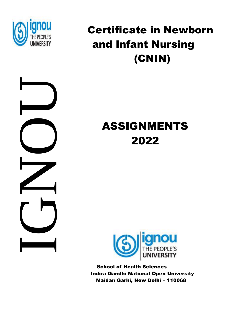

NUMBER<br>IGNO



# ASSIGNMENTS 2022



 School of Health Sciences Indira Gandhi National Open University Maidan Garhi, New Delhi – 110068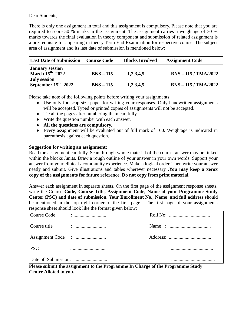#### Dear Students,

There is only one assignment in total and this assignment is compulsory. Please note that you are required to score 50 % marks in the assignment. The assignment carries a weightage of 30 % marks towards the final evaluation in theory component and submission of related assignment is a pre-requisite for appearing in theory Term End Examination for respective course. The subject area of assignment and its last date of submission is mentioned below:

| <b>Last Date of Submission</b>              | <b>Course Code</b> | <b>Blocks Involved</b> | <b>Assignment Code</b> |
|---------------------------------------------|--------------------|------------------------|------------------------|
| <b>January session</b><br>March $15th$ 2022 | $BNS - 115$        | 1,2,3,4,5              | $BNS - 115 / TMA/2022$ |
| July session<br>September $15^{th}$ 2022    | $BNS - 115$        | 1,2,3,4,5              | $BNS - 115 / TMA/2022$ |

Please take note of the following points before writing your assignments:

- Use only foolscap size paper for writing your responses. Only handwritten assignments will be accepted. Typed or printed copies of assignments will not be accepted.
- Tie all the pages after numbering them carefully.
- Write the question number with each answer.
- **All the questions are compulsory.**
- Every assignment will be evaluated out of full mark of 100. Weightage is indicated in parenthesis against each question.

# **Suggestion for writing an assignment:**

Read the assignment carefully. Scan through whole material of the course, answer may be linked within the blocks /units. Draw a rough outline of your answer in your own words. Support your answer from your clinical / community experience. Make a logical order. Then write your answer neatly and submit. Give illustrations and tables wherever necessary .**You may keep a xerox copy of the assignments for future reference. Do not copy from print material.**

Answer each assignment in separate sheets. On the first page of the assignment response sheets, write the Course **Code, Course Title, Assignment Code, Name of your Programme Study Center (PSC) and date of submission. Your Enrollment No., Name and full address s**hould be mentioned in the top right corner of the first page . The first page of your assignments response sheet should look like the format given below:

| Course Code  |  |  |
|--------------|--|--|
| Course title |  |  |
|              |  |  |
| <b>PSC</b>   |  |  |
|              |  |  |

**Please submit the assignment to the Programme In Charge of the Programme Study Centre Alloted to you.**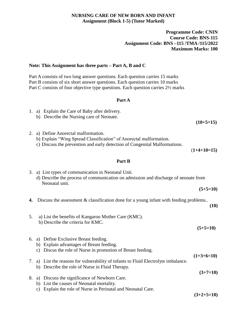#### **NURSING CARE OF NEW BORN AND INFANT Assignment (Block 1-5) (Tutor Marked)**

#### **Programme Code: CNIN Course Code: BNS-115 Assignment Code: BNS –115 /TMA /115/2022 Maximum Marks: 100**

#### **Note: This Assignment has three parts – Part A, B and C**

Part A consists of two long answer questions. Each question carries 15 marks Part B consists of six short answer questions. Each question carries 10 marks Part C consists of four objective type questions. Each question carries 2½ marks

#### **Part A**

- 1. a) Explain the Care of Baby after delivery.
	- b) Describe the Nursing care of Neonate.

 **(10+5=15)**

- 2. a) Define Anorectal malformation.
	- b) Explain "Wing Spread Classification" of Anorectal malformation.
	- c) Discuss the prevention and early detection of Congenital Malformations.

(**1+4+10=15)** 

#### **Part B**

| 3. | a) List types of communication in Neonatal Unit.<br>d) Describe the process of communication on admission and discharge of neonate from<br>Neonatal unit.          |                            |
|----|--------------------------------------------------------------------------------------------------------------------------------------------------------------------|----------------------------|
|    |                                                                                                                                                                    | $(5+5=10)$                 |
| 4. | Discuss the assessment $\&$ classification done for a young infant with feeding problems                                                                           | (10)                       |
| 5. | a) List the benefits of Kangaroo Mother Care (KMC).<br>b) Describe the criteria for KMC.                                                                           | $(5+5=10)$                 |
| 6. | a) Define Exclusive Breast feeding.<br>Explain advantages of Breast feeding.<br>b)<br>Discus the role of Nurse in promotion of Breast feeding.<br>$\mathcal{C}$ )  |                            |
| 7. | a) List the reasons for vulnerability of infants to Fluid Electrolyte imbalance.<br>Describe the role of Nurse in Fluid Therapy.<br>b)                             | $(1+3+6=10)$<br>$(3+7=10)$ |
| 8. | Discuss the significance of Newborn Care.<br>a)<br>List the causes of Neonatal mortality.<br>b)<br>Explain the role of Nurse in Perinatal and Neonatal Care.<br>C) |                            |

**(3+2+5=10)**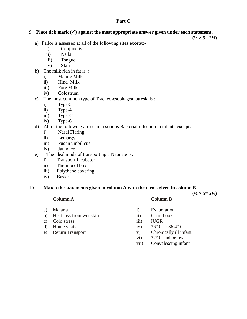#### **Part C**

# 9. **Place tick mark**  $(\checkmark)$  **against the most appropriate answer given under each statement.**

 $(\frac{1}{2} \times 5 = 2\frac{1}{2})$ 

 $(\frac{1}{2} \times 5 = 2\frac{1}{2})$ 

- a) Pallor is assessed at all of the following sites **except:**
	- i) Conjunctiva
	- ii) Nails
	- iii) Tongue
	- iv) Skin
- b) The milk rich in fat is :
	- i) Mature Milk
	- ii) Hind Milk
	- iii) Fore Milk
	- iv) Colostrum
- c) The most common type of Tracheo-esophageal atresia is :
	- i) Type-5
	- ii) Type-4
	- iii) Type -2
	- iv) Type-6
- d) All of the following are seen in serious Bacterial infection in infants **except**:
	- i) Nasal Flaring
	- ii) Lethargy
	- iii) Pus in umbilicus
	- iv) Jaundice
- e) The ideal mode of transporting a Neonate is**:**
	- i) Transport Incubator
	- ii) Thermocol box
	- iii) Polythene covering
	- iv) Basket

#### 10. **Match the statements given in column A with the terms given in column B**

- 
- b) Heat loss from wet skin ii) Chart book
- c) Cold stress iii) IUGR
- 
- 

#### **Column A Column B**

- a) Malaria i) Evaporation
	-
	-
- d) Home visits iv)  $36^{\circ}$  C to  $36.4^{\circ}$  C
- e) Return Transport v) Chronically ill infant
	- vi) 32° C and below
	- vii) Convalescing infant